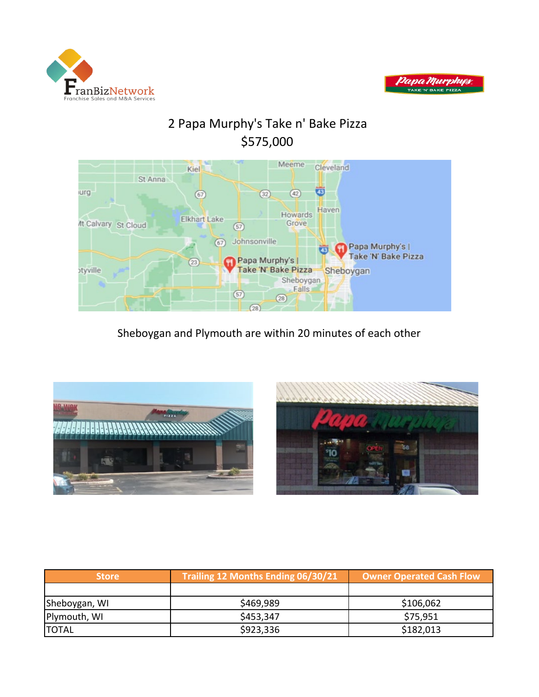



# 2 Papa Murphy's Take n' Bake Pizza \$575,000



### Sheboygan and Plymouth are within 20 minutes of each other





| <b>Store</b>  | Trailing 12 Months Ending 06/30/21 | Owner Operated Cash Flow |
|---------------|------------------------------------|--------------------------|
|               |                                    |                          |
| Sheboygan, WI | \$469,989                          | \$106,062                |
| Plymouth, WI  | \$453,347                          | \$75,951                 |
| <b>TOTAL</b>  | \$923,336                          | \$182,013                |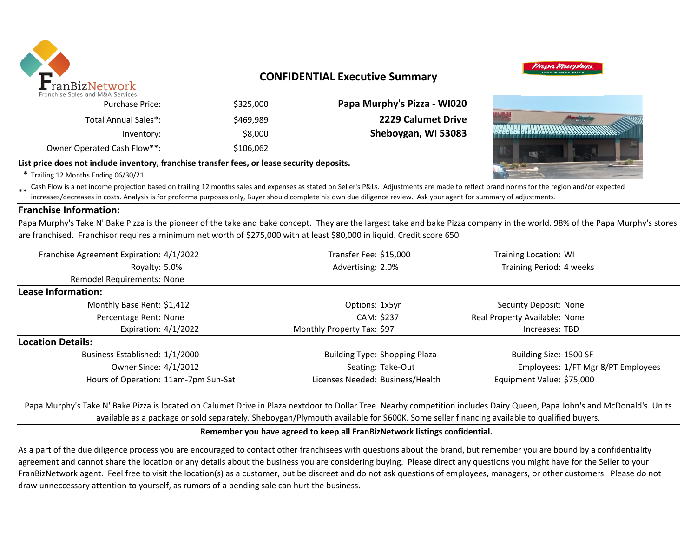

### **CONFIDENTIAL Executive Summary**



### **List price does not include inventory, franchise transfer fees, or lease security deposits.**

\* Trailing 12 Months Ending 06/30/21

Total Annual Sales\*:

\*\* Cash Flow is a net income projection based on trailing 12 months sales and expenses as stated on Seller's P&Ls. Adjustments are made to reflect brand norms for the region and/or expected in costs. Analysis is for profor increases/decreases in costs. Analysis is for proforma purposes only, Buyer should complete his own due diligence review. Ask your agent for summary of adjustments.

### **Franchise Information:**

Papa Murphy's Take N' Bake Pizza is the pioneer of the take and bake concept. They are the largest take and bake Pizza company in the world. 98% of the Papa Murphy's stores are franchised. Franchisor requires a minimum net worth of \$275,000 with at least \$80,000 in liquid. Credit score 650.

| Franchise Agreement Expiration: 4/1/2022 | Transfer Fee: \$15,000               | Training Location: WI              |  |  |
|------------------------------------------|--------------------------------------|------------------------------------|--|--|
| Royalty: 5.0%                            | Advertising: 2.0%                    | Training Period: 4 weeks           |  |  |
| Remodel Requirements: None               |                                      |                                    |  |  |
| <b>Lease Information:</b>                |                                      |                                    |  |  |
| Monthly Base Rent: \$1,412               | Options: 1x5yr                       | Security Deposit: None             |  |  |
| Percentage Rent: None                    | CAM: \$237                           | Real Property Available: None      |  |  |
| Expiration: $4/1/2022$                   | Monthly Property Tax: \$97           | Increases: TBD                     |  |  |
| <b>Location Details:</b>                 |                                      |                                    |  |  |
| Business Established: 1/1/2000           | <b>Building Type: Shopping Plaza</b> | Building Size: 1500 SF             |  |  |
| Owner Since: 4/1/2012                    | Seating: Take-Out                    | Employees: 1/FT Mgr 8/PT Employees |  |  |
| Hours of Operation: 11am-7pm Sun-Sat     | Licenses Needed: Business/Health     | Equipment Value: \$75,000          |  |  |

Papa Murphy's Take N' Bake Pizza is located on Calumet Drive in Plaza nextdoor to Dollar Tree. Nearby competition includes Dairy Queen, Papa John's and McDonald's. Units available as a package or sold separately. Sheboygan/Plymouth available for \$600K. Some seller financing available to qualified buyers.

### **Remember you have agreed to keep all FranBizNetwork listings confidential.**

As a part of the due diligence process you are encouraged to contact other franchisees with questions about the brand, but remember you are bound by a confidentiality agreement and cannot share the location or any details about the business you are considering buying. Please direct any questions you might have for the Seller to your FranBizNetwork agent. Feel free to visit the location(s) as a customer, but be discreet and do not ask questions of employees, managers, or other customers. Please do not draw unneccessary attention to yourself, as rumors of a pending sale can hurt the business.



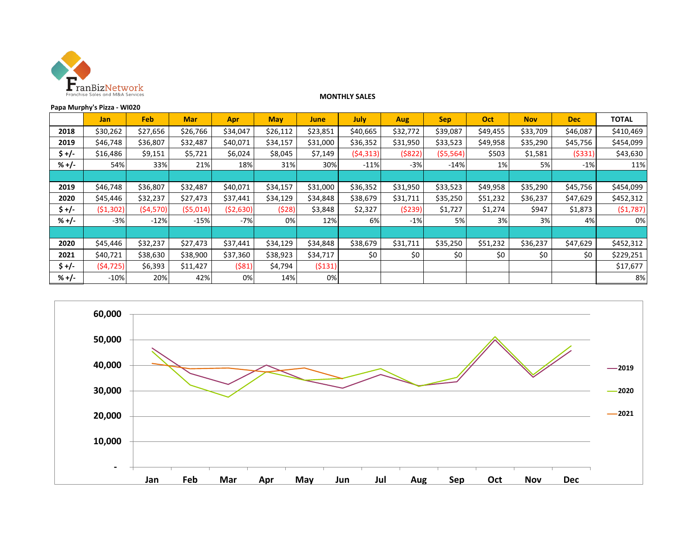

#### **MONTHLY SALES**

| Papa Murphy's Pizza - WI020 |            |           |            |            |            |          |             |          |            |          |            |            |              |
|-----------------------------|------------|-----------|------------|------------|------------|----------|-------------|----------|------------|----------|------------|------------|--------------|
|                             | <b>Jan</b> | Feb       | <b>Mar</b> | <b>Apr</b> | <b>May</b> | June     | <b>July</b> | Aug      | <b>Sep</b> | Oct      | <b>Nov</b> | <b>Dec</b> | <b>TOTAL</b> |
| 2018                        | \$30,262   | \$27,656  | \$26,766   | \$34,047   | \$26,112   | \$23,851 | \$40,665    | \$32,772 | \$39,087   | \$49,455 | \$33,709   | \$46,087   | \$410,469    |
| 2019                        | \$46,748   | \$36,807  | \$32,487   | \$40,071   | \$34,157   | \$31,000 | \$36,352    | \$31,950 | \$33,523   | \$49,958 | \$35,290   | \$45,756   | \$454,099    |
| \$ +/-                      | \$16,486   | \$9,151   | \$5,721    | \$6,024    | \$8,045    | \$7,149  | (54, 313)   | ( \$822) | ( \$5,564) | \$503    | \$1,581    | (\$331)    | \$43,630     |
| $% +/-$                     | 54%        | 33%       | 21%        | 18%        | 31%        | 30%      | $-11%$      | $-3%$    | $-14%$     | 1%       | 5%         | $-1\%$     | 11%          |
|                             |            |           |            |            |            |          |             |          |            |          |            |            |              |
| 2019                        | \$46,748   | \$36,807  | \$32,487   | \$40,071   | \$34,157   | \$31,000 | \$36,352    | \$31,950 | \$33,523   | \$49,958 | \$35,290   | \$45,756   | \$454,099    |
| 2020                        | \$45,446   | \$32,237  | \$27,473   | \$37,441   | \$34,129   | \$34,848 | \$38,679    | \$31,711 | \$35,250   | \$51,232 | \$36,237   | \$47,629   | \$452,312    |
| \$ +/-                      | (51, 302)  | (54, 570) | (55,014)   | ( \$2,630) | (\$28)     | \$3,848  | \$2,327     | (5239)   | \$1,727    | \$1,274  | \$947      | \$1,873    | (\$1,787)    |
| $% +/-$                     | $-3%$      | $-12%$    | $-15%$     | $-7%$      | 0%         | 12%      | 6%          | $-1%$    | 5%         | 3%       | 3%         | 4%         | 0%           |
|                             |            |           |            |            |            |          |             |          |            |          |            |            |              |
| 2020                        | \$45,446   | \$32,237  | \$27,473   | \$37,441   | \$34,129   | \$34,848 | \$38,679    | \$31,711 | \$35,250   | \$51,232 | \$36,237   | \$47,629   | \$452,312    |
| 2021                        | \$40,721   | \$38,630  | \$38,900   | \$37,360   | \$38,923   | \$34,717 | \$0         | \$0      | \$0        | \$0      | \$0        | \$0        | \$229,251    |
| $5 +/-$                     | (54, 725)  | \$6,393   | \$11,427   | (\$81)     | \$4,794    | (5131)   |             |          |            |          |            |            | \$17,677     |
| $% +/-$                     | $-10%$     | 20%       | 42%        | 0%         | 14%        | 0%       |             |          |            |          |            |            | 8%           |

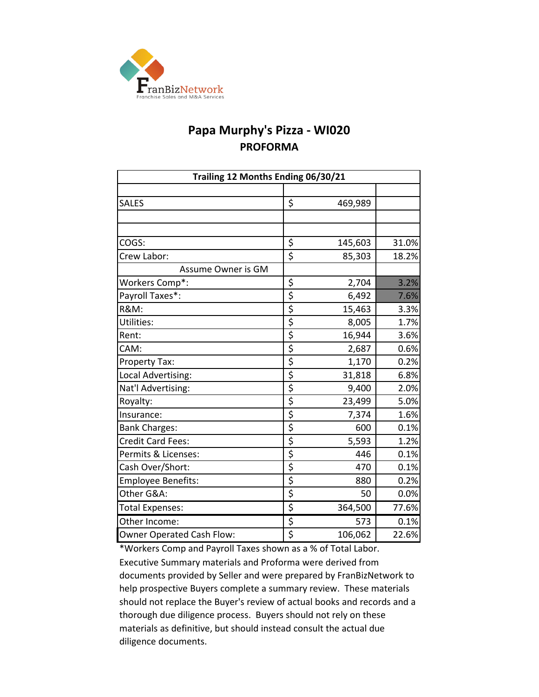

## **Papa Murphy's Pizza - WI020 PROFORMA**

| Trailing 12 Months Ending 06/30/21 |                                     |         |       |  |  |  |  |  |
|------------------------------------|-------------------------------------|---------|-------|--|--|--|--|--|
|                                    |                                     |         |       |  |  |  |  |  |
| <b>SALES</b>                       | \$                                  | 469,989 |       |  |  |  |  |  |
|                                    |                                     |         |       |  |  |  |  |  |
|                                    |                                     |         |       |  |  |  |  |  |
| COGS:                              | \$                                  | 145,603 | 31.0% |  |  |  |  |  |
| Crew Labor:                        | $\overline{\xi}$                    | 85,303  | 18.2% |  |  |  |  |  |
| Assume Owner is GM                 |                                     |         |       |  |  |  |  |  |
| Workers Comp*:                     | \$                                  | 2,704   | 3.2%  |  |  |  |  |  |
| Payroll Taxes*:                    | \$                                  | 6,492   | 7.6%  |  |  |  |  |  |
| <b>R&amp;M:</b>                    | \$                                  | 15,463  | 3.3%  |  |  |  |  |  |
| Utilities:                         | $\overline{\xi}$                    | 8,005   | 1.7%  |  |  |  |  |  |
| Rent:                              | \$                                  | 16,944  | 3.6%  |  |  |  |  |  |
| CAM:                               | \$                                  | 2,687   | 0.6%  |  |  |  |  |  |
| <b>Property Tax:</b>               | \$                                  | 1,170   | 0.2%  |  |  |  |  |  |
| Local Advertising:                 | \$                                  | 31,818  | 6.8%  |  |  |  |  |  |
| Nat'l Advertising:                 | \$                                  | 9,400   | 2.0%  |  |  |  |  |  |
| Royalty:                           | \$                                  | 23,499  | 5.0%  |  |  |  |  |  |
| Insurance:                         | \$                                  | 7,374   | 1.6%  |  |  |  |  |  |
| <b>Bank Charges:</b>               | \$                                  | 600     | 0.1%  |  |  |  |  |  |
| <b>Credit Card Fees:</b>           | \$                                  | 5,593   | 1.2%  |  |  |  |  |  |
| Permits & Licenses:                | \$                                  | 446     | 0.1%  |  |  |  |  |  |
| Cash Over/Short:                   | $\overline{\mathsf{S}}$             | 470     | 0.1%  |  |  |  |  |  |
| <b>Employee Benefits:</b>          | \$                                  | 880     | 0.2%  |  |  |  |  |  |
| Other G&A:                         | $\overline{\boldsymbol{\varsigma}}$ | 50      | 0.0%  |  |  |  |  |  |
| <b>Total Expenses:</b>             | \$                                  | 364,500 | 77.6% |  |  |  |  |  |
| Other Income:                      | \$                                  | 573     | 0.1%  |  |  |  |  |  |
| Owner Operated Cash Flow:          | \$                                  | 106,062 | 22.6% |  |  |  |  |  |

\*Workers Comp and Payroll Taxes shown as a % of Total Labor. Executive Summary materials and Proforma were derived from documents provided by Seller and were prepared by FranBizNetwork to help prospective Buyers complete a summary review. These materials should not replace the Buyer's review of actual books and records and a thorough due diligence process. Buyers should not rely on these materials as definitive, but should instead consult the actual due diligence documents.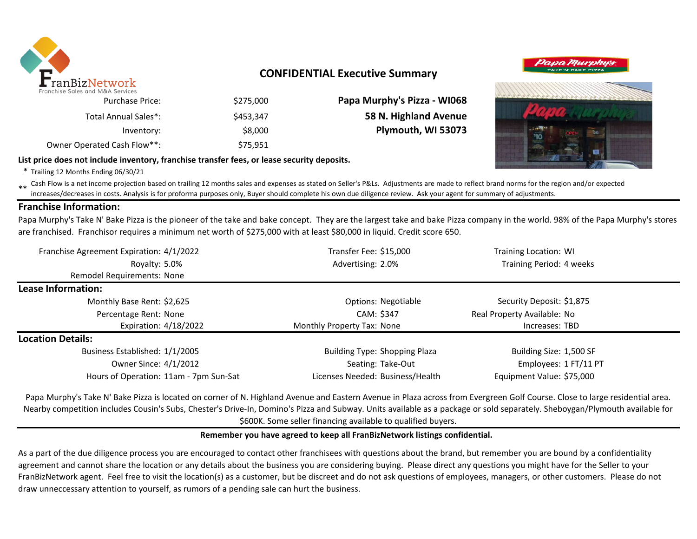

### **CONFIDENTIAL Executive Summary**

|  | Papa Murphys | TAKE 'N' BAKE PIZZA |  |  |  |
|--|--------------|---------------------|--|--|--|
|  |              |                     |  |  |  |
|  |              |                     |  |  |  |

| Papa Murphy's Pizza - WI068 | \$275,000 | <b>Purchase Price:</b>      |
|-----------------------------|-----------|-----------------------------|
| 58 N. Highland Avenue       | \$453.347 | Total Annual Sales*:        |
| Plymouth, WI 53073          | \$8,000   | Inventory:                  |
|                             | \$75,951  | Owner Operated Cash Flow**: |

### **List price does not include inventory, franchise transfer fees, or lease security deposits.**

\* Trailing 12 Months Ending 06/30/21

\*\* Cash Flow is a net income projection based on trailing 12 months sales and expenses as stated on Seller's P&Ls. Adjustments are made to reflect brand norms for the region and/or expected in costs. Analysis is for profor increases/decreases in costs. Analysis is for proforma purposes only, Buyer should complete his own due diligence review. Ask your agent for summary of adjustments.

### **Franchise Information:**

Papa Murphy's Take N' Bake Pizza is the pioneer of the take and bake concept. They are the largest take and bake Pizza company in the world. 98% of the Papa Murphy's stores are franchised. Franchisor requires a minimum net worth of \$275,000 with at least \$80,000 in liquid. Credit score 650.

| Franchise Agreement Expiration: 4/1/2022 | Transfer Fee: \$15,000               | <b>Training Location: WI</b> |  |
|------------------------------------------|--------------------------------------|------------------------------|--|
| Royalty: 5.0%                            | Advertising: 2.0%                    | Training Period: 4 weeks     |  |
| Remodel Requirements: None               |                                      |                              |  |
| <b>Lease Information:</b>                |                                      |                              |  |
| Monthly Base Rent: \$2,625               | Options: Negotiable                  | Security Deposit: \$1,875    |  |
| Percentage Rent: None                    | CAM: \$347                           | Real Property Available: No  |  |
| Expiration: 4/18/2022                    | Monthly Property Tax: None           | Increases: TBD               |  |
| <b>Location Details:</b>                 |                                      |                              |  |
| Business Established: 1/1/2005           | <b>Building Type: Shopping Plaza</b> | Building Size: 1,500 SF      |  |
| Owner Since: 4/1/2012                    | Seating: Take-Out                    | Employees: 1 FT/11 PT        |  |
| Hours of Operation: 11am - 7pm Sun-Sat   | Licenses Needed: Business/Health     | Equipment Value: \$75,000    |  |

Papa Murphy's Take N' Bake Pizza is located on corner of N. Highland Avenue and Eastern Avenue in Plaza across from Evergreen Golf Course. Close to large residential area. Nearby competition includes Cousin's Subs, Chester's Drive-In, Domino's Pizza and Subway. Units available as a package or sold separately. Sheboygan/Plymouth available for \$600K. Some seller financing available to qualified buyers.

### **Remember you have agreed to keep all FranBizNetwork listings confidential.**

As a part of the due diligence process you are encouraged to contact other franchisees with questions about the brand, but remember you are bound by a confidentiality agreement and cannot share the location or any details about the business you are considering buying. Please direct any questions you might have for the Seller to your FranBizNetwork agent. Feel free to visit the location(s) as a customer, but be discreet and do not ask questions of employees, managers, or other customers. Please do not draw unneccessary attention to yourself, as rumors of a pending sale can hurt the business.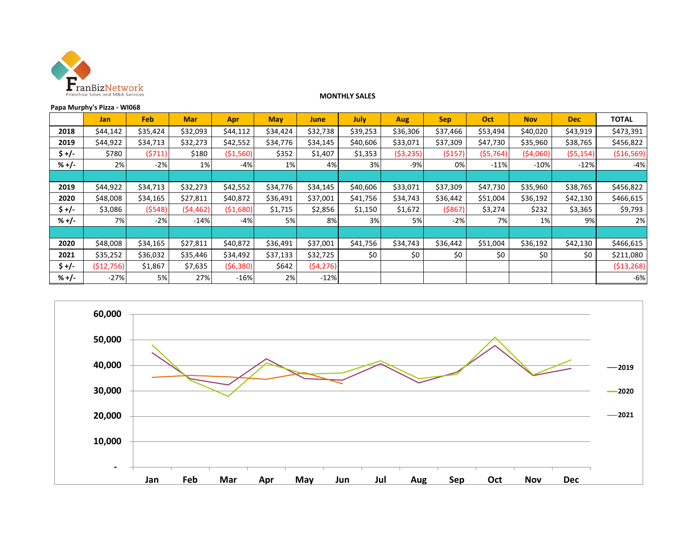

#### **MONTHLY SALES**

| Papa Murphy's Pizza - WI068 |            |          |            |            |            |           |             |            |            |           |            |            |              |
|-----------------------------|------------|----------|------------|------------|------------|-----------|-------------|------------|------------|-----------|------------|------------|--------------|
|                             | Jan        | Feb      | <b>Mar</b> | Apr        | <b>May</b> | June      | <b>July</b> | Aug        | <b>Sep</b> | Oct       | <b>Nov</b> | <b>Dec</b> | <b>TOTAL</b> |
| 2018                        | \$44,142   | \$35,424 | \$32,093   | \$44,112   | \$34,424   | \$32,738  | \$39,253    | \$36,306   | \$37,466   | \$53,494  | \$40,020   | \$43,919   | \$473,391    |
| 2019                        | \$44,922   | \$34,713 | \$32,273   | \$42,552   | \$34,776   | \$34,145  | \$40,606    | \$33,071   | \$37,309   | \$47,730  | \$35,960   | \$38,765   | \$456,822    |
| $5 +/-$                     | \$780      | (5711)   | \$180      | ( \$1,560) | \$352      | \$1,407   | \$1,353     | ( \$3,235) | ( \$157)   | (55, 764) | (54,060)   | (55, 154)  | ( \$16,569)  |
| $% +/-$                     | 2%         | $-2%$    | $1\%$      | $-4%$      | 1%         | 4%        | 3%          | $-9%$      | 0%         | $-11%$    | $-10%$     | $-12%$     | $-4%$        |
|                             |            |          |            |            |            |           |             |            |            |           |            |            |              |
| 2019                        | \$44,922   | \$34,713 | \$32,273   | \$42,552   | \$34,776   | \$34,145  | \$40,606    | \$33,071   | \$37,309   | \$47,730  | \$35,960   | \$38,765   | \$456,822    |
| 2020                        | \$48,008   | \$34,165 | \$27,811   | \$40,872   | \$36,491   | \$37,001  | \$41,756    | \$34,743   | \$36,442   | \$51,004  | \$36,192   | \$42,130   | \$466,615    |
| \$+/-                       | \$3,086    | (5548)   | (54, 462)  | (51,680)   | \$1,715    | \$2,856   | \$1,150     | \$1,672    | ( \$867)   | \$3,274   | \$232      | \$3,365    | \$9,793      |
| $% +/-$                     | 7%         | $-2%$    | $-14%$     | $-4%$      | 5%         | 8%        | 3%          | 5%         | $-2%$      | 7%        | 1%         | 9%         | 2%           |
|                             |            |          |            |            |            |           |             |            |            |           |            |            |              |
| 2020                        | \$48,008   | \$34,165 | \$27,811   | \$40,872   | \$36,491   | \$37,001  | \$41,756    | \$34,743   | \$36,442   | \$51,004  | \$36,192   | \$42,130   | \$466,615    |
| 2021                        | \$35,252   | \$36,032 | \$35,446   | \$34,492   | \$37,133   | \$32,725  | \$0         | \$0        | \$0        | \$0       | \$0        | \$0        | \$211,080    |
| $$+/-$                      | (512, 756) | \$1,867  | \$7,635    | (56,380)   | \$642      | (54, 276) |             |            |            |           |            |            | (513, 268)   |
| $% +/-$                     | $-27%$     | 5%       | 27%        | $-16%$     | 2%         | $-12%$    |             |            |            |           |            |            | $-6%$        |